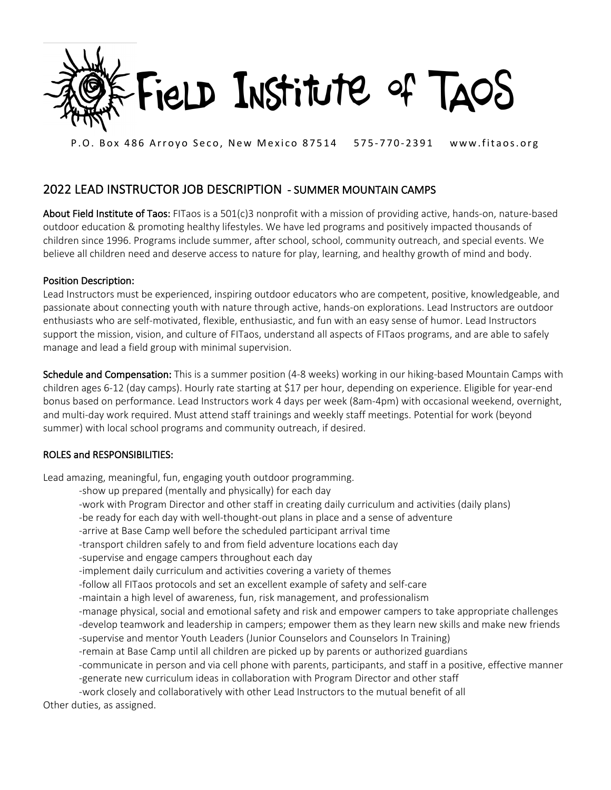

P.O. Box 486 Arroyo Seco, New Mexico 87514 575-770-2391 www.fitaos.org

## 2022 LEAD INSTRUCTOR JOB DESCRIPTION - SUMMER MOUNTAIN CAMPS

About Field Institute of Taos: FITaos is a 501(c)3 nonprofit with a mission of providing active, hands-on, nature-based outdoor education & promoting healthy lifestyles. We have led programs and positively impacted thousands of children since 1996. Programs include summer, after school, school, community outreach, and special events. We believe all children need and deserve access to nature for play, learning, and healthy growth of mind and body.

## Position Description:

Lead Instructors must be experienced, inspiring outdoor educators who are competent, positive, knowledgeable, and passionate about connecting youth with nature through active, hands-on explorations. Lead Instructors are outdoor enthusiasts who are self-motivated, flexible, enthusiastic, and fun with an easy sense of humor. Lead Instructors support the mission, vision, and culture of FITaos, understand all aspects of FITaos programs, and are able to safely manage and lead a field group with minimal supervision.

Schedule and Compensation: This is a summer position (4-8 weeks) working in our hiking-based Mountain Camps with children ages 6-12 (day camps). Hourly rate starting at \$17 per hour, depending on experience. Eligible for year-end bonus based on performance. Lead Instructors work 4 days per week (8am-4pm) with occasional weekend, overnight, and multi-day work required. Must attend staff trainings and weekly staff meetings. Potential for work (beyond summer) with local school programs and community outreach, if desired.

## ROLES and RESPONSIBILITIES:

Lead amazing, meaningful, fun, engaging youth outdoor programming.

-show up prepared (mentally and physically) for each day

- -work with Program Director and other staff in creating daily curriculum and activities (daily plans)
- -be ready for each day with well-thought-out plans in place and a sense of adventure
- -arrive at Base Camp well before the scheduled participant arrival time
- -transport children safely to and from field adventure locations each day
- -supervise and engage campers throughout each day
- -implement daily curriculum and activities covering a variety of themes
- -follow all FITaos protocols and set an excellent example of safety and self-care
- -maintain a high level of awareness, fun, risk management, and professionalism
- -manage physical, social and emotional safety and risk and empower campers to take appropriate challenges -develop teamwork and leadership in campers; empower them as they learn new skills and make new friends -supervise and mentor Youth Leaders (Junior Counselors and Counselors In Training)
- -remain at Base Camp until all children are picked up by parents or authorized guardians
- -communicate in person and via cell phone with parents, participants, and staff in a positive, effective manner
- -generate new curriculum ideas in collaboration with Program Director and other staff
- -work closely and collaboratively with other Lead Instructors to the mutual benefit of all

Other duties, as assigned.